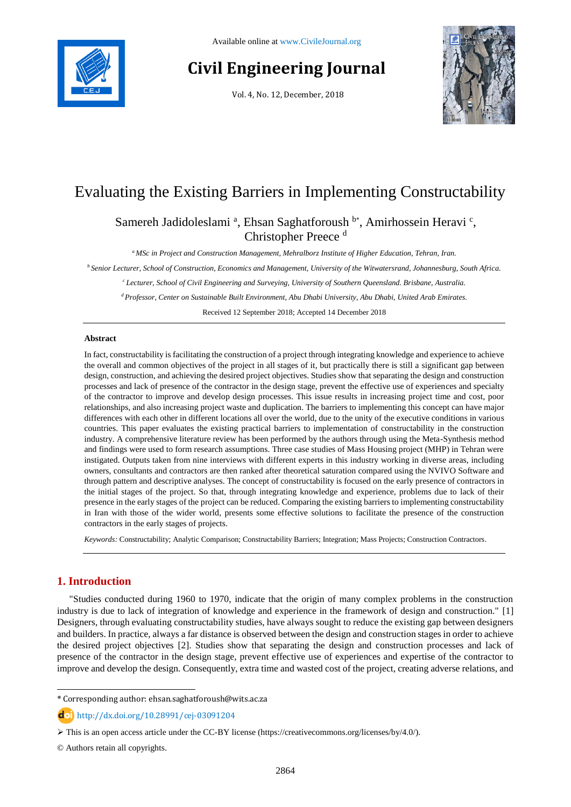

# **Civil Engineering Journal**

Vol. 4, No. 12, December, 2018



# Evaluating the Existing Barriers in Implementing Constructability

# Samereh Jadidoleslami<sup>a</sup>, Ehsan Saghatforoush b\*, Amirhossein Heravi<sup>c</sup>, Christopher Preece <sup>d</sup>

*<sup>a</sup> MSc in Project and Construction Management, Mehralborz Institute of Higher Education, Tehran, Iran.*

*<sup>b</sup>Senior Lecturer, School of Construction, Economics and Management, University of the Witwatersrand, Johannesburg, South Africa.*

*<sup>c</sup>Lecturer, School of Civil Engineering and Surveying, University of Southern Queensland. Brisbane, Australia.*

*<sup>d</sup>Professor, Center on Sustainable Built Environment, Abu Dhabi University, Abu Dhabi, United Arab Emirates.*

Received 12 September 2018; Accepted 14 December 2018

### **Abstract**

In fact, constructability is facilitating the construction of a project through integrating knowledge and experience to achieve the overall and common objectives of the project in all stages of it, but practically there is still a significant gap between design, construction, and achieving the desired project objectives. Studies show that separating the design and construction processes and lack of presence of the contractor in the design stage, prevent the effective use of experiences and specialty of the contractor to improve and develop design processes. This issue results in increasing project time and cost, poor relationships, and also increasing project waste and duplication. The barriers to implementing this concept can have major differences with each other in different locations all over the world, due to the unity of the executive conditions in various countries. This paper evaluates the existing practical barriers to implementation of constructability in the construction industry. A comprehensive literature review has been performed by the authors through using the Meta-Synthesis method and findings were used to form research assumptions. Three case studies of Mass Housing project (MHP) in Tehran were instigated. Outputs taken from nine interviews with different experts in this industry working in diverse areas, including owners, consultants and contractors are then ranked after theoretical saturation compared using the NVIVO Software and through pattern and descriptive analyses. The concept of constructability is focused on the early presence of contractors in the initial stages of the project. So that, through integrating knowledge and experience, problems due to lack of their presence in the early stages of the project can be reduced. Comparing the existing barriers to implementing constructability in Iran with those of the wider world, presents some effective solutions to facilitate the presence of the construction contractors in the early stages of projects.

*Keywords:* Constructability; Analytic Comparison; Constructability Barriers; Integration; Mass Projects; Construction Contractors.

# **1. Introduction**

l

"Studies conducted during 1960 to 1970, indicate that the origin of many complex problems in the construction industry is due to lack of integration of knowledge and experience in the framework of design and construction." [1] Designers, through evaluating constructability studies, have always sought to reduce the existing gap between designers and builders. In practice, always a far distance is observed between the design and construction stages in order to achieve the desired project objectives [2]. Studies show that separating the design and construction processes and lack of presence of the contractor in the design stage, prevent effective use of experiences and expertise of the contractor to improve and develop the design. Consequently, extra time and wasted cost of the project, creating adverse relations, and

<sup>\*</sup> Corresponding author: ehsan.saghatforoush@wits.ac.za

http://dx.doi.org/10.28991/cej-03091204

This is an open access article under the CC-BY license [\(https://creativecommons.org/licenses/by/4.0/\)](https://creativecommons.org/licenses/by/4.0/).

<sup>©</sup> Authors retain all copyrights.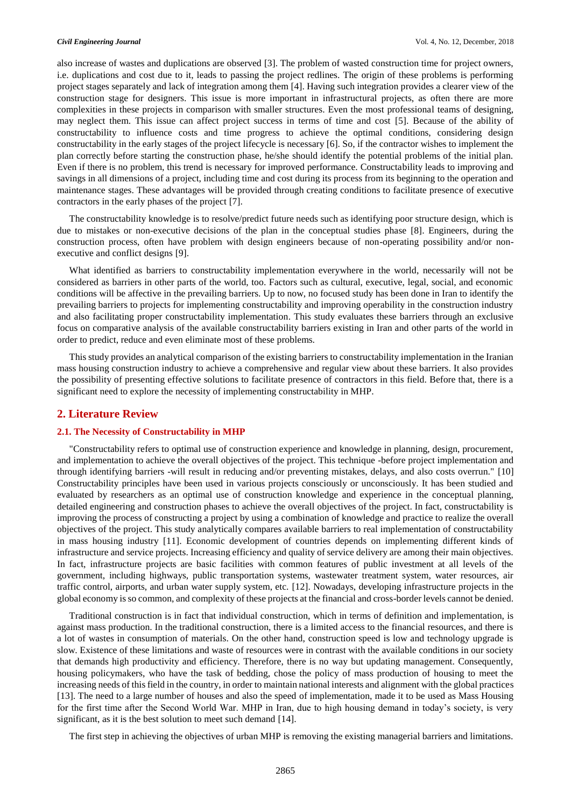also increase of wastes and duplications are observed [3]. The problem of wasted construction time for project owners, i.e. duplications and cost due to it, leads to passing the project redlines. The origin of these problems is performing project stages separately and lack of integration among them [4]. Having such integration provides a clearer view of the construction stage for designers. This issue is more important in infrastructural projects, as often there are more complexities in these projects in comparison with smaller structures. Even the most professional teams of designing, may neglect them. This issue can affect project success in terms of time and cost [5]. Because of the ability of constructability to influence costs and time progress to achieve the optimal conditions, considering design constructability in the early stages of the project lifecycle is necessary [6]. So, if the contractor wishes to implement the plan correctly before starting the construction phase, he/she should identify the potential problems of the initial plan. Even if there is no problem, this trend is necessary for improved performance. Constructability leads to improving and savings in all dimensions of a project, including time and cost during its process from its beginning to the operation and maintenance stages. These advantages will be provided through creating conditions to facilitate presence of executive contractors in the early phases of the project [7].

The constructability knowledge is to resolve/predict future needs such as identifying poor structure design, which is due to mistakes or non-executive decisions of the plan in the conceptual studies phase [8]. Engineers, during the construction process, often have problem with design engineers because of non-operating possibility and/or nonexecutive and conflict designs [9].

What identified as barriers to constructability implementation everywhere in the world, necessarily will not be considered as barriers in other parts of the world, too. Factors such as cultural, executive, legal, social, and economic conditions will be affective in the prevailing barriers. Up to now, no focused study has been done in Iran to identify the prevailing barriers to projects for implementing constructability and improving operability in the construction industry and also facilitating proper constructability implementation. This study evaluates these barriers through an exclusive focus on comparative analysis of the available constructability barriers existing in Iran and other parts of the world in order to predict, reduce and even eliminate most of these problems.

This study provides an analytical comparison of the existing barriers to constructability implementation in the Iranian mass housing construction industry to achieve a comprehensive and regular view about these barriers. It also provides the possibility of presenting effective solutions to facilitate presence of contractors in this field. Before that, there is a significant need to explore the necessity of implementing constructability in MHP.

### **2. Literature Review**

### **2.1. The Necessity of Constructability in MHP**

"Constructability refers to optimal use of construction experience and knowledge in planning, design, procurement, and implementation to achieve the overall objectives of the project. This technique -before project implementation and through identifying barriers -will result in reducing and/or preventing mistakes, delays, and also costs overrun." [10] Constructability principles have been used in various projects consciously or unconsciously. It has been studied and evaluated by researchers as an optimal use of construction knowledge and experience in the conceptual planning, detailed engineering and construction phases to achieve the overall objectives of the project. In fact, constructability is improving the process of constructing a project by using a combination of knowledge and practice to realize the overall objectives of the project. This study analytically compares available barriers to real implementation of constructability in mass housing industry [11]. Economic development of countries depends on implementing different kinds of infrastructure and service projects. Increasing efficiency and quality of service delivery are among their main objectives. In fact, infrastructure projects are basic facilities with common features of public investment at all levels of the government, including highways, public transportation systems, wastewater treatment system, water resources, air traffic control, airports, and urban water supply system, etc. [12]. Nowadays, developing infrastructure projects in the global economy is so common, and complexity of these projects at the financial and cross-border levels cannot be denied.

Traditional construction is in fact that individual construction, which in terms of definition and implementation, is against mass production. In the traditional construction, there is a limited access to the financial resources, and there is a lot of wastes in consumption of materials. On the other hand, construction speed is low and technology upgrade is slow. Existence of these limitations and waste of resources were in contrast with the available conditions in our society that demands high productivity and efficiency. Therefore, there is no way but updating management. Consequently, housing policymakers, who have the task of bedding, chose the policy of mass production of housing to meet the increasing needs of this field in the country, in order to maintain national interests and alignment with the global practices [13]. The need to a large number of houses and also the speed of implementation, made it to be used as Mass Housing for the first time after the Second World War. MHP in Iran, due to high housing demand in today's society, is very significant, as it is the best solution to meet such demand [14].

The first step in achieving the objectives of urban MHP is removing the existing managerial barriers and limitations.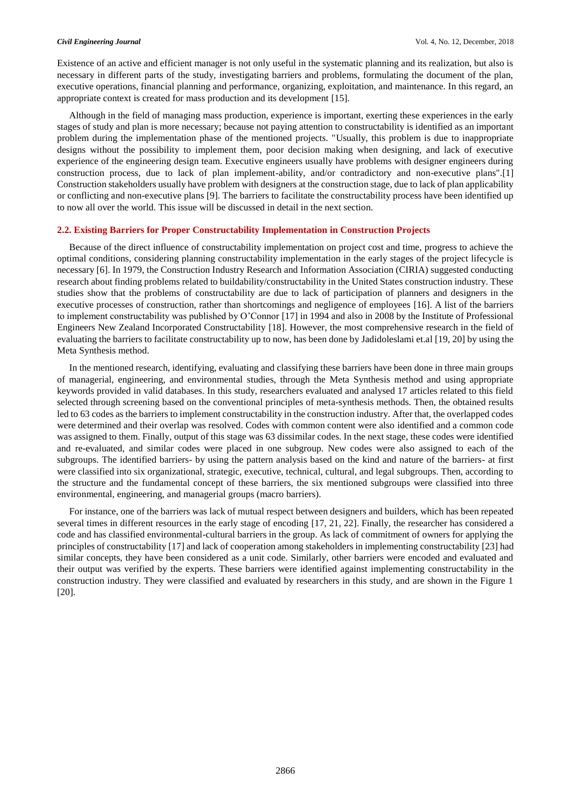Existence of an active and efficient manager is not only useful in the systematic planning and its realization, but also is necessary in different parts of the study, investigating barriers and problems, formulating the document of the plan, executive operations, financial planning and performance, organizing, exploitation, and maintenance. In this regard, an appropriate context is created for mass production and its development [15].

Although in the field of managing mass production, experience is important, exerting these experiences in the early stages of study and plan is more necessary; because not paying attention to constructability is identified as an important problem during the implementation phase of the mentioned projects. "Usually, this problem is due to inappropriate designs without the possibility to implement them, poor decision making when designing, and lack of executive experience of the engineering design team. Executive engineers usually have problems with designer engineers during construction process, due to lack of plan implement-ability, and/or contradictory and non-executive plans".[1] Construction stakeholders usually have problem with designers at the construction stage, due to lack of plan applicability or conflicting and non-executive plans [9]. The barriers to facilitate the constructability process have been identified up to now all over the world. This issue will be discussed in detail in the next section.

### **2.2. Existing Barriers for Proper Constructability Implementation in Construction Projects**

Because of the direct influence of constructability implementation on project cost and time, progress to achieve the optimal conditions, considering planning constructability implementation in the early stages of the project lifecycle is necessary [6]. In 1979, the Construction Industry Research and Information Association (CIRIA) suggested conducting research about finding problems related to buildability/constructability in the United States construction industry. These studies show that the problems of constructability are due to lack of participation of planners and designers in the executive processes of construction, rather than shortcomings and negligence of employees [16]. A list of the barriers to implement constructability was published by O'Connor [17] in 1994 and also in 2008 by the Institute of Professional Engineers New Zealand Incorporated Constructability [18]. However, the most comprehensive research in the field of evaluating the barriers to facilitate constructability up to now, has been done by Jadidoleslami et.al [19, 20] by using the Meta Synthesis method.

In the mentioned research, identifying, evaluating and classifying these barriers have been done in three main groups of managerial, engineering, and environmental studies, through the Meta Synthesis method and using appropriate keywords provided in valid databases. In this study, researchers evaluated and analysed 17 articles related to this field selected through screening based on the conventional principles of meta-synthesis methods. Then, the obtained results led to 63 codes as the barriers to implement constructability in the construction industry. After that, the overlapped codes were determined and their overlap was resolved. Codes with common content were also identified and a common code was assigned to them. Finally, output of this stage was 63 dissimilar codes. In the next stage, these codes were identified and re-evaluated, and similar codes were placed in one subgroup. New codes were also assigned to each of the subgroups. The identified barriers- by using the pattern analysis based on the kind and nature of the barriers- at first were classified into six organizational, strategic, executive, technical, cultural, and legal subgroups. Then, according to the structure and the fundamental concept of these barriers, the six mentioned subgroups were classified into three environmental, engineering, and managerial groups (macro barriers).

For instance, one of the barriers was lack of mutual respect between designers and builders, which has been repeated several times in different resources in the early stage of encoding [17, 21, 22]. Finally, the researcher has considered a code and has classified environmental-cultural barriers in the group. As lack of commitment of owners for applying the principles of constructability [17] and lack of cooperation among stakeholders in implementing constructability [23] had similar concepts, they have been considered as a unit code. Similarly, other barriers were encoded and evaluated and their output was verified by the experts. These barriers were identified against implementing constructability in the construction industry. They were classified and evaluated by researchers in this study, and are shown in the Figure 1 [20].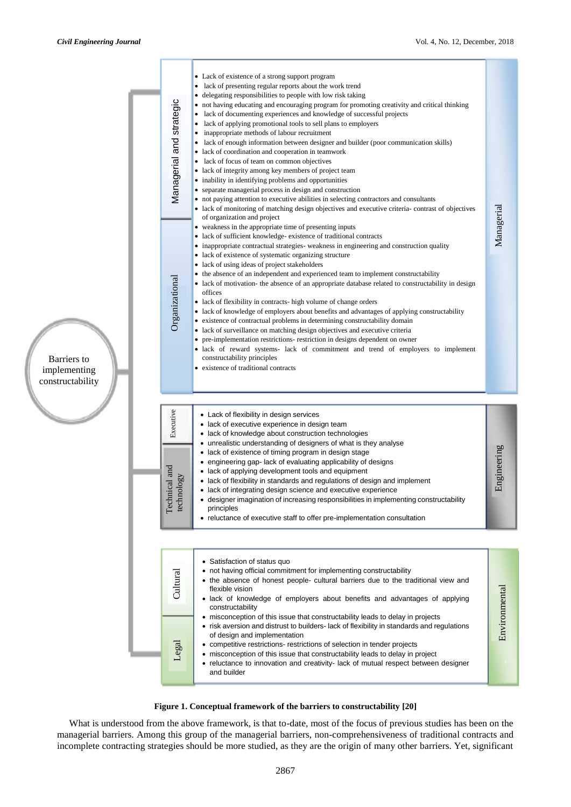



What is understood from the above framework, is that to-date, most of the focus of previous studies has been on the managerial barriers. Among this group of the managerial barriers, non-comprehensiveness of traditional contracts and incomplete contracting strategies should be more studied, as they are the origin of many other barriers. Yet, significant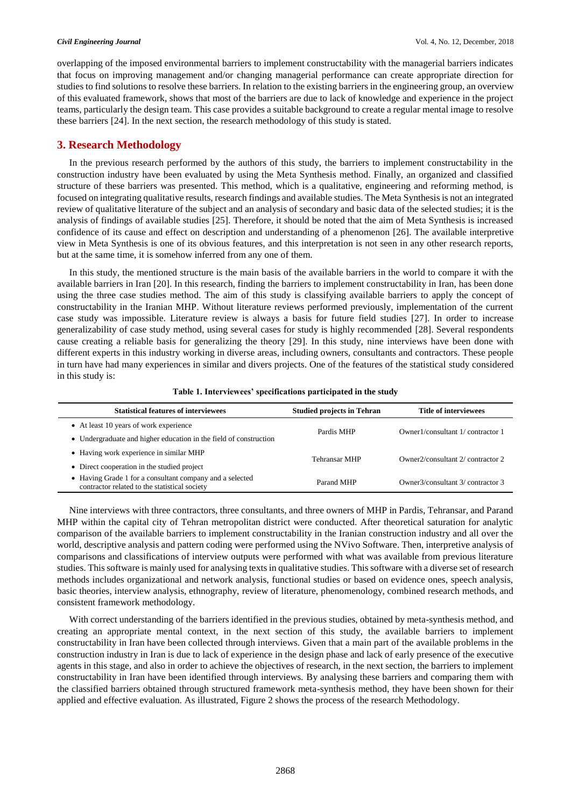overlapping of the imposed environmental barriers to implement constructability with the managerial barriers indicates that focus on improving management and/or changing managerial performance can create appropriate direction for studies to find solutions to resolve these barriers. In relation to the existing barriers in the engineering group, an overview of this evaluated framework, shows that most of the barriers are due to lack of knowledge and experience in the project teams, particularly the design team. This case provides a suitable background to create a regular mental image to resolve these barriers [24]. In the next section, the research methodology of this study is stated.

# **3. Research Methodology**

In the previous research performed by the authors of this study, the barriers to implement constructability in the construction industry have been evaluated by using the Meta Synthesis method. Finally, an organized and classified structure of these barriers was presented. This method, which is a qualitative, engineering and reforming method, is focused on integrating qualitative results, research findings and available studies. The Meta Synthesis is not an integrated review of qualitative literature of the subject and an analysis of secondary and basic data of the selected studies; it is the analysis of findings of available studies [25]. Therefore, it should be noted that the aim of Meta Synthesis is increased confidence of its cause and effect on description and understanding of a phenomenon [26]. The available interpretive view in Meta Synthesis is one of its obvious features, and this interpretation is not seen in any other research reports, but at the same time, it is somehow inferred from any one of them.

In this study, the mentioned structure is the main basis of the available barriers in the world to compare it with the available barriers in Iran [20]. In this research, finding the barriers to implement constructability in Iran, has been done using the three case studies method. The aim of this study is classifying available barriers to apply the concept of constructability in the Iranian MHP. Without literature reviews performed previously, implementation of the current case study was impossible. Literature review is always a basis for future field studies [27]. In order to increase generalizability of case study method, using several cases for study is highly recommended [28]. Several respondents cause creating a reliable basis for generalizing the theory [29]. In this study, nine interviews have been done with different experts in this industry working in diverse areas, including owners, consultants and contractors. These people in turn have had many experiences in similar and divers projects. One of the features of the statistical study considered in this study is:

| <b>Statistical features of interviewees</b>                                                               | <b>Studied projects in Tehran</b> | <b>Title of interviewees</b>      |
|-----------------------------------------------------------------------------------------------------------|-----------------------------------|-----------------------------------|
| • At least 10 years of work experience                                                                    | Pardis MHP                        | Owner1/consultant 1/ contractor 1 |
| • Undergraduate and higher education in the field of construction                                         |                                   |                                   |
| • Having work experience in similar MHP                                                                   | Tehransar MHP                     | Owner2/consultant 2/ contractor 2 |
| • Direct cooperation in the studied project                                                               |                                   |                                   |
| • Having Grade 1 for a consultant company and a selected<br>contractor related to the statistical society | Parand MHP                        | Owner3/consultant 3/ contractor 3 |

**Table 1. Interviewees' specifications participated in the study**

Nine interviews with three contractors, three consultants, and three owners of MHP in Pardis, Tehransar, and Parand MHP within the capital city of Tehran metropolitan district were conducted. After theoretical saturation for analytic comparison of the available barriers to implement constructability in the Iranian construction industry and all over the world, descriptive analysis and pattern coding were performed using the NVivo Software. Then, interpretive analysis of comparisons and classifications of interview outputs were performed with what was available from previous literature studies. This software is mainly used for analysing texts in qualitative studies. This software with a diverse set of research methods includes organizational and network analysis, functional studies or based on evidence ones, speech analysis, basic theories, interview analysis, ethnography, review of literature, phenomenology, combined research methods, and consistent framework methodology.

With correct understanding of the barriers identified in the previous studies, obtained by meta-synthesis method, and creating an appropriate mental context, in the next section of this study, the available barriers to implement constructability in Iran have been collected through interviews. Given that a main part of the available problems in the construction industry in Iran is due to lack of experience in the design phase and lack of early presence of the executive agents in this stage, and also in order to achieve the objectives of research, in the next section, the barriers to implement constructability in Iran have been identified through interviews. By analysing these barriers and comparing them with the classified barriers obtained through structured framework meta-synthesis method, they have been shown for their applied and effective evaluation. As illustrated, Figure 2 shows the process of the research Methodology.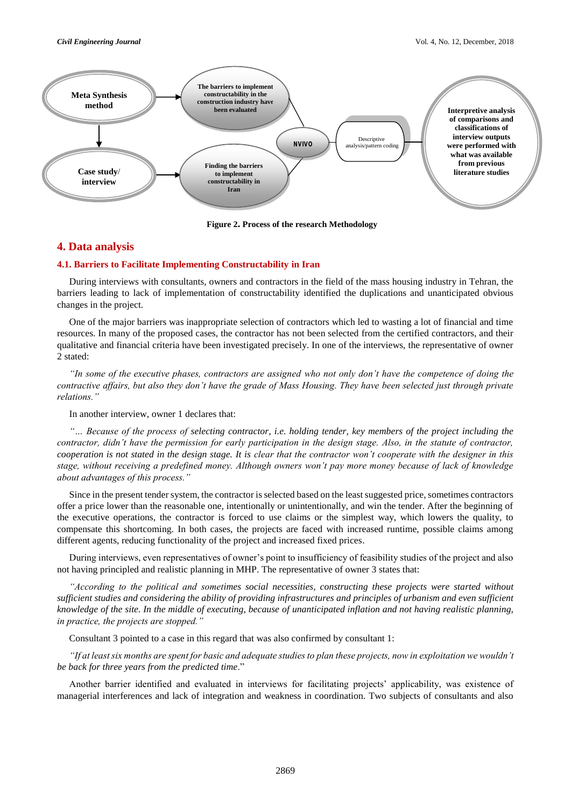

**Figure 2. Process of the research Methodology**

# **4. Data analysis**

### **4.1. Barriers to Facilitate Implementing Constructability in Iran**

During interviews with consultants, owners and contractors in the field of the mass housing industry in Tehran, the barriers leading to lack of implementation of constructability identified the duplications and unanticipated obvious changes in the project.

One of the major barriers was inappropriate selection of contractors which led to wasting a lot of financial and time resources. In many of the proposed cases, the contractor has not been selected from the certified contractors, and their qualitative and financial criteria have been investigated precisely. In one of the interviews, the representative of owner 2 stated:

*"In some of the executive phases, contractors are assigned who not only don't have the competence of doing the contractive affairs, but also they don't have the grade of Mass Housing. They have been selected just through private relations."*

In another interview, owner 1 declares that:

*"… Because of the process of selecting contractor, i.e. holding tender, key members of the project including the contractor, didn't have the permission for early participation in the design stage. Also, in the statute of contractor, cooperation is not stated in the design stage. It is clear that the contractor won't cooperate with the designer in this stage, without receiving a predefined money. Although owners won't pay more money because of lack of knowledge about advantages of this process."*

Since in the present tender system, the contractor is selected based on the least suggested price, sometimes contractors offer a price lower than the reasonable one, intentionally or unintentionally, and win the tender. After the beginning of the executive operations, the contractor is forced to use claims or the simplest way, which lowers the quality, to compensate this shortcoming. In both cases, the projects are faced with increased runtime, possible claims among different agents, reducing functionality of the project and increased fixed prices.

During interviews, even representatives of owner's point to insufficiency of feasibility studies of the project and also not having principled and realistic planning in MHP. The representative of owner 3 states that:

*"According to the political and sometimes social necessities, constructing these projects were started without sufficient studies and considering the ability of providing infrastructures and principles of urbanism and even sufficient knowledge of the site. In the middle of executing, because of unanticipated inflation and not having realistic planning, in practice, the projects are stopped."*

Consultant 3 pointed to a case in this regard that was also confirmed by consultant 1:

*"If at least six months are spent for basic and adequate studies to plan these projects, now in exploitation we wouldn't be back for three years from the predicted time*."

Another barrier identified and evaluated in interviews for facilitating projects' applicability, was existence of managerial interferences and lack of integration and weakness in coordination. Two subjects of consultants and also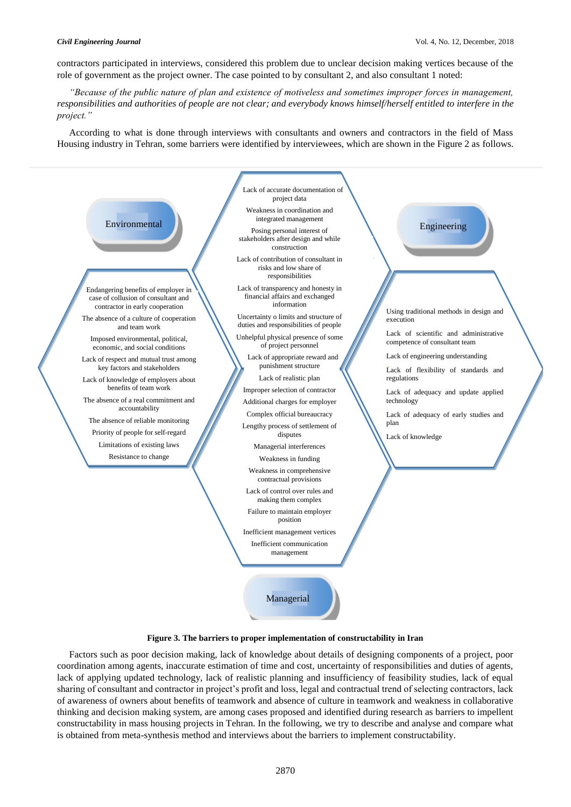contractors participated in interviews, considered this problem due to unclear decision making vertices because of the role of government as the project owner. The case pointed to by consultant 2, and also consultant 1 noted:

*"Because of the public nature of plan and existence of motiveless and sometimes improper forces in management, responsibilities and authorities of people are not clear; and everybody knows himself/herself entitled to interfere in the project."*

According to what is done through interviews with consultants and owners and contractors in the field of Mass Housing industry in Tehran, some barriers were identified by interviewees, which are shown in the Figure 2 as follows.

### conditions of project personnel Environmental Posing personal interest of Engineering Managerial Endangering benefits of employer in case of collusion of consultant and contractor in early cooperation The absence of a culture of cooperation and team work Imposed environmental, political, economic, and social conditions Lack of respect and mutual trust among key factors and stakeholders Lack of knowledge of employers about benefits of team work The absence of a real commitment and accountability The absence of reliable monitoring Priority of people for self-regard Limitations of existing laws Resistance to change Using traditional methods in design and execution Lack of scientific and administrative competence of consultant team Lack of engineering understanding Lack of flexibility of standards and regulations Lack of adequacy and update applied technology Lack of adequacy of early studies and plan Lack of knowledge Lack of accurate documentation of project data Weakness in coordination and integrated management stakeholders after design and while construction Lack of contribution of consultant in risks and low share of responsibilities Lack of transparency and honesty in financial affairs and exchanged information Uncertainty o limits and structure of duties and responsibilities of people Unhelpful physical presence of some Lack of appropriate reward and punishment structure Lack of realistic plan Improper selection of contractor Additional charges for employer Complex official bureaucracy Lengthy process of settlement of disputes Managerial interferences Weakness in funding Weakness in comprehensive contractual provisions Lack of control over rules and making them complex Failure to maintain employer position Inefficient management vertices Inefficient communication management

# **Figure 3. The barriers to proper implementation of constructability in Iran**

Factors such as poor decision making, lack of knowledge about details of designing components of a project, poor coordination among agents, inaccurate estimation of time and cost, uncertainty of responsibilities and duties of agents, lack of applying updated technology, lack of realistic planning and insufficiency of feasibility studies, lack of equal sharing of consultant and contractor in project's profit and loss, legal and contractual trend of selecting contractors, lack of awareness of owners about benefits of teamwork and absence of culture in teamwork and weakness in collaborative thinking and decision making system, are among cases proposed and identified during research as barriers to impellent constructability in mass housing projects in Tehran. In the following, we try to describe and analyse and compare what is obtained from meta-synthesis method and interviews about the barriers to implement constructability.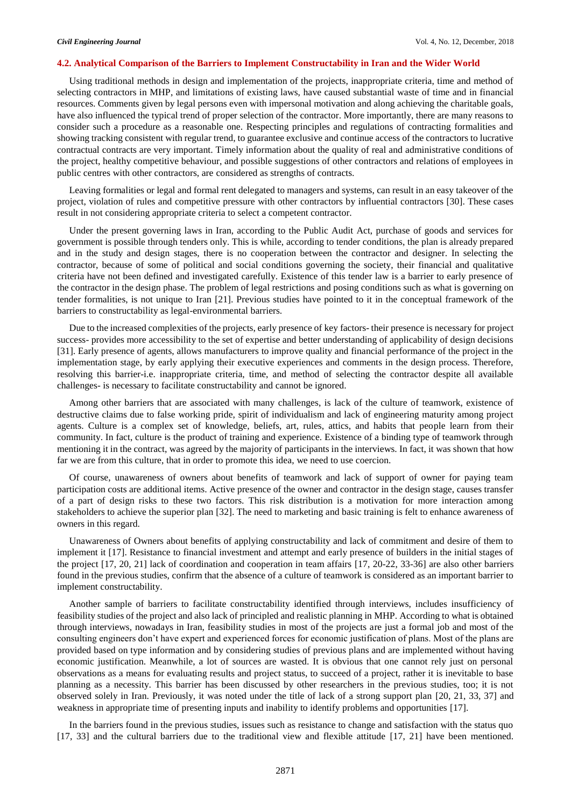### **4.2. Analytical Comparison of the Barriers to Implement Constructability in Iran and the Wider World**

Using traditional methods in design and implementation of the projects, inappropriate criteria, time and method of selecting contractors in MHP, and limitations of existing laws, have caused substantial waste of time and in financial resources. Comments given by legal persons even with impersonal motivation and along achieving the charitable goals, have also influenced the typical trend of proper selection of the contractor. More importantly, there are many reasons to consider such a procedure as a reasonable one. Respecting principles and regulations of contracting formalities and showing tracking consistent with regular trend, to guarantee exclusive and continue access of the contractors to lucrative contractual contracts are very important. Timely information about the quality of real and administrative conditions of the project, healthy competitive behaviour, and possible suggestions of other contractors and relations of employees in public centres with other contractors, are considered as strengths of contracts.

Leaving formalities or legal and formal rent delegated to managers and systems, can result in an easy takeover of the project, violation of rules and competitive pressure with other contractors by influential contractors [30]. These cases result in not considering appropriate criteria to select a competent contractor.

Under the present governing laws in Iran, according to the Public Audit Act, purchase of goods and services for government is possible through tenders only. This is while, according to tender conditions, the plan is already prepared and in the study and design stages, there is no cooperation between the contractor and designer. In selecting the contractor, because of some of political and social conditions governing the society, their financial and qualitative criteria have not been defined and investigated carefully. Existence of this tender law is a barrier to early presence of the contractor in the design phase. The problem of legal restrictions and posing conditions such as what is governing on tender formalities, is not unique to Iran [21]. Previous studies have pointed to it in the conceptual framework of the barriers to constructability as legal-environmental barriers.

Due to the increased complexities of the projects, early presence of key factors- their presence is necessary for project success- provides more accessibility to the set of expertise and better understanding of applicability of design decisions [31]. Early presence of agents, allows manufacturers to improve quality and financial performance of the project in the implementation stage, by early applying their executive experiences and comments in the design process. Therefore, resolving this barrier-i.e. inappropriate criteria, time, and method of selecting the contractor despite all available challenges- is necessary to facilitate constructability and cannot be ignored.

Among other barriers that are associated with many challenges, is lack of the culture of teamwork, existence of destructive claims due to false working pride, spirit of individualism and lack of engineering maturity among project agents. Culture is a complex set of knowledge, beliefs, art, rules, attics, and habits that people learn from their community. In fact, culture is the product of training and experience. Existence of a binding type of teamwork through mentioning it in the contract, was agreed by the majority of participants in the interviews. In fact, it was shown that how far we are from this culture, that in order to promote this idea, we need to use coercion.

Of course, unawareness of owners about benefits of teamwork and lack of support of owner for paying team participation costs are additional items. Active presence of the owner and contractor in the design stage, causes transfer of a part of design risks to these two factors. This risk distribution is a motivation for more interaction among stakeholders to achieve the superior plan [32]. The need to marketing and basic training is felt to enhance awareness of owners in this regard.

Unawareness of Owners about benefits of applying constructability and lack of commitment and desire of them to implement it [17]. Resistance to financial investment and attempt and early presence of builders in the initial stages of the project [17, 20, 21] lack of coordination and cooperation in team affairs [17, 20-22, 33-36] are also other barriers found in the previous studies, confirm that the absence of a culture of teamwork is considered as an important barrier to implement constructability.

Another sample of barriers to facilitate constructability identified through interviews, includes insufficiency of feasibility studies of the project and also lack of principled and realistic planning in MHP. According to what is obtained through interviews, nowadays in Iran, feasibility studies in most of the projects are just a formal job and most of the consulting engineers don't have expert and experienced forces for economic justification of plans. Most of the plans are provided based on type information and by considering studies of previous plans and are implemented without having economic justification. Meanwhile, a lot of sources are wasted. It is obvious that one cannot rely just on personal observations as a means for evaluating results and project status, to succeed of a project, rather it is inevitable to base planning as a necessity. This barrier has been discussed by other researchers in the previous studies, too; it is not observed solely in Iran. Previously, it was noted under the title of lack of a strong support plan [20, 21, 33, 37] and weakness in appropriate time of presenting inputs and inability to identify problems and opportunities [17].

In the barriers found in the previous studies, issues such as resistance to change and satisfaction with the status quo [17, 33] and the cultural barriers due to the traditional view and flexible attitude [17, 21] have been mentioned.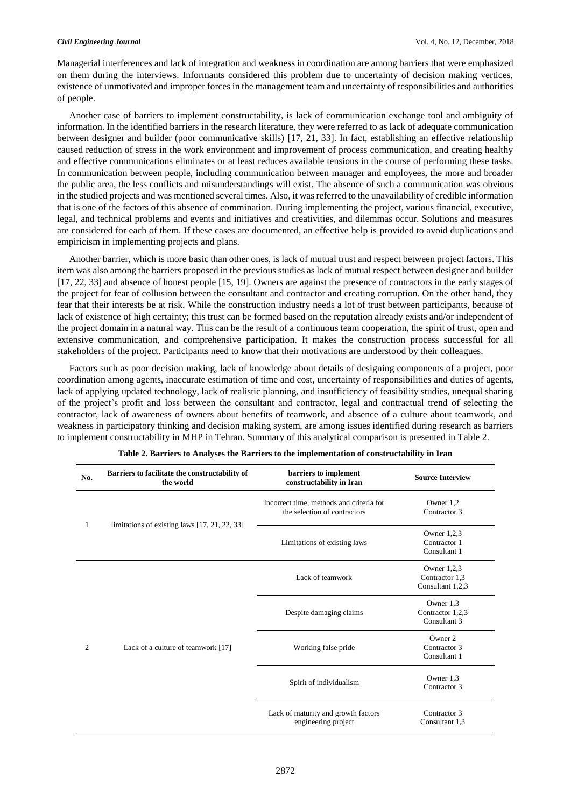Managerial interferences and lack of integration and weakness in coordination are among barriers that were emphasized on them during the interviews. Informants considered this problem due to uncertainty of decision making vertices, existence of unmotivated and improper forces in the management team and uncertainty of responsibilities and authorities of people.

Another case of barriers to implement constructability, is lack of communication exchange tool and ambiguity of information. In the identified barriers in the research literature, they were referred to as lack of adequate communication between designer and builder (poor communicative skills) [17, 21, 33]. In fact, establishing an effective relationship caused reduction of stress in the work environment and improvement of process communication, and creating healthy and effective communications eliminates or at least reduces available tensions in the course of performing these tasks. In communication between people, including communication between manager and employees, the more and broader the public area, the less conflicts and misunderstandings will exist. The absence of such a communication was obvious in the studied projects and was mentioned several times. Also, it was referred to the unavailability of credible information that is one of the factors of this absence of commination. During implementing the project, various financial, executive, legal, and technical problems and events and initiatives and creativities, and dilemmas occur. Solutions and measures are considered for each of them. If these cases are documented, an effective help is provided to avoid duplications and empiricism in implementing projects and plans.

Another barrier, which is more basic than other ones, is lack of mutual trust and respect between project factors. This item was also among the barriers proposed in the previous studies as lack of mutual respect between designer and builder [17, 22, 33] and absence of honest people [15, 19]. Owners are against the presence of contractors in the early stages of the project for fear of collusion between the consultant and contractor and creating corruption. On the other hand, they fear that their interests be at risk. While the construction industry needs a lot of trust between participants, because of lack of existence of high certainty; this trust can be formed based on the reputation already exists and/or independent of the project domain in a natural way. This can be the result of a continuous team cooperation, the spirit of trust, open and extensive communication, and comprehensive participation. It makes the construction process successful for all stakeholders of the project. Participants need to know that their motivations are understood by their colleagues.

Factors such as poor decision making, lack of knowledge about details of designing components of a project, poor coordination among agents, inaccurate estimation of time and cost, uncertainty of responsibilities and duties of agents, lack of applying updated technology, lack of realistic planning, and insufficiency of feasibility studies, unequal sharing of the project's profit and loss between the consultant and contractor, legal and contractual trend of selecting the contractor, lack of awareness of owners about benefits of teamwork, and absence of a culture about teamwork, and weakness in participatory thinking and decision making system, are among issues identified during research as barriers to implement constructability in MHP in Tehran. Summary of this analytical comparison is presented in Table 2.

| No. | Barriers to facilitate the constructability of<br>the world | barriers to implement<br>constructability in Iran                        | <b>Source Interview</b>                             |
|-----|-------------------------------------------------------------|--------------------------------------------------------------------------|-----------------------------------------------------|
| 1   | limitations of existing laws $[17, 21, 22, 33]$             | Incorrect time, methods and criteria for<br>the selection of contractors | Owner 1,2<br>Contractor 3                           |
|     |                                                             | Limitations of existing laws                                             | Owner $1,2,3$<br>Contractor 1<br>Consultant 1       |
| 2   | Lack of a culture of teamwork [17]                          | Lack of teamwork                                                         | Owner $1,2,3$<br>Contractor 1,3<br>Consultant 1,2,3 |
|     |                                                             | Despite damaging claims                                                  | Owner 1,3<br>Contractor 1,2,3<br>Consultant 3       |
|     |                                                             | Working false pride                                                      | Owner 2<br>Contractor 3<br>Consultant 1             |
|     |                                                             | Spirit of individualism                                                  | Owner 1,3<br>Contractor 3                           |
|     |                                                             | Lack of maturity and growth factors<br>engineering project               | Contractor 3<br>Consultant 1,3                      |

|  |  | Table 2. Barriers to Analyses the Barriers to the implementation of constructability in Iran |  |
|--|--|----------------------------------------------------------------------------------------------|--|
|--|--|----------------------------------------------------------------------------------------------|--|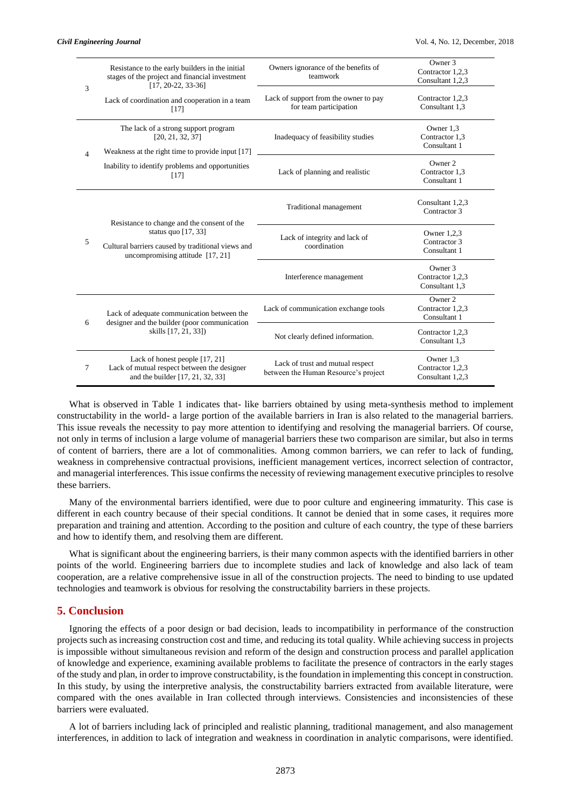| 3              | Resistance to the early builders in the initial<br>stages of the project and financial investment<br>$[17, 20-22, 33-36]$                                       | Owners ignorance of the benefits of<br>teamwork                          | Owner 3<br>Contractor 1,2,3<br>Consultant 1,2,3   |
|----------------|-----------------------------------------------------------------------------------------------------------------------------------------------------------------|--------------------------------------------------------------------------|---------------------------------------------------|
|                | Lack of coordination and cooperation in a team<br>$[17]$                                                                                                        | Lack of support from the owner to pay<br>for team participation          | Contractor 1,2,3<br>Consultant 1.3                |
| $\overline{4}$ | The lack of a strong support program<br>[20, 21, 32, 37]<br>Weakness at the right time to provide input [17]                                                    | Inadequacy of feasibility studies                                        | Owner 1,3<br>Contractor 1,3<br>Consultant 1       |
|                | Inability to identify problems and opportunities<br>$[17]$                                                                                                      | Lack of planning and realistic                                           | Owner 2<br>Contractor 1,3<br>Consultant 1         |
| 5              | Resistance to change and the consent of the<br>status quo $[17, 33]$<br>Cultural barriers caused by traditional views and<br>uncompromising attitude $[17, 21]$ | Traditional management                                                   | Consultant 1,2,3<br>Contractor 3                  |
|                |                                                                                                                                                                 | Lack of integrity and lack of<br>coordination                            | Owner 1,2,3<br>Contractor 3<br>Consultant 1       |
|                |                                                                                                                                                                 | Interference management                                                  | Owner 3<br>Contractor 1,2,3<br>Consultant 1,3     |
| 6              | Lack of adequate communication between the<br>designer and the builder (poor communication<br>skills [17, 21, 33])                                              | Lack of communication exchange tools                                     | Owner 2<br>Contractor 1,2,3<br>Consultant 1       |
|                |                                                                                                                                                                 | Not clearly defined information.                                         | Contractor 1,2,3<br>Consultant 1,3                |
| 7              | Lack of honest people [17, 21]<br>Lack of mutual respect between the designer<br>and the builder [17, 21, 32, 33]                                               | Lack of trust and mutual respect<br>between the Human Resource's project | Owner 1,3<br>Contractor 1,2,3<br>Consultant 1,2,3 |

What is observed in Table 1 indicates that- like barriers obtained by using meta-synthesis method to implement constructability in the world- a large portion of the available barriers in Iran is also related to the managerial barriers. This issue reveals the necessity to pay more attention to identifying and resolving the managerial barriers. Of course, not only in terms of inclusion a large volume of managerial barriers these two comparison are similar, but also in terms of content of barriers, there are a lot of commonalities. Among common barriers, we can refer to lack of funding, weakness in comprehensive contractual provisions, inefficient management vertices, incorrect selection of contractor, and managerial interferences. This issue confirms the necessity of reviewing management executive principles to resolve these barriers.

Many of the environmental barriers identified, were due to poor culture and engineering immaturity. This case is different in each country because of their special conditions. It cannot be denied that in some cases, it requires more preparation and training and attention. According to the position and culture of each country, the type of these barriers and how to identify them, and resolving them are different.

What is significant about the engineering barriers, is their many common aspects with the identified barriers in other points of the world. Engineering barriers due to incomplete studies and lack of knowledge and also lack of team cooperation, are a relative comprehensive issue in all of the construction projects. The need to binding to use updated technologies and teamwork is obvious for resolving the constructability barriers in these projects.

# **5. Conclusion**

Ignoring the effects of a poor design or bad decision, leads to incompatibility in performance of the construction projects such as increasing construction cost and time, and reducing its total quality. While achieving success in projects is impossible without simultaneous revision and reform of the design and construction process and parallel application of knowledge and experience, examining available problems to facilitate the presence of contractors in the early stages of the study and plan, in order to improve constructability, is the foundation in implementing this concept in construction. In this study, by using the interpretive analysis, the constructability barriers extracted from available literature, were compared with the ones available in Iran collected through interviews. Consistencies and inconsistencies of these barriers were evaluated.

A lot of barriers including lack of principled and realistic planning, traditional management, and also management interferences, in addition to lack of integration and weakness in coordination in analytic comparisons, were identified.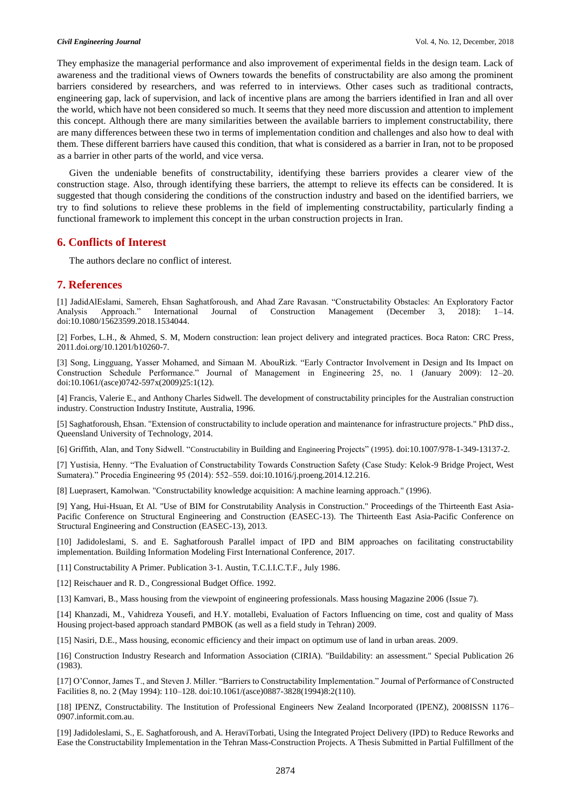They emphasize the managerial performance and also improvement of experimental fields in the design team. Lack of awareness and the traditional views of Owners towards the benefits of constructability are also among the prominent barriers considered by researchers, and was referred to in interviews. Other cases such as traditional contracts, engineering gap, lack of supervision, and lack of incentive plans are among the barriers identified in Iran and all over the world, which have not been considered so much. It seems that they need more discussion and attention to implement this concept. Although there are many similarities between the available barriers to implement constructability, there are many differences between these two in terms of implementation condition and challenges and also how to deal with them. These different barriers have caused this condition, that what is considered as a barrier in Iran, not to be proposed as a barrier in other parts of the world, and vice versa.

Given the undeniable benefits of constructability, identifying these barriers provides a clearer view of the construction stage. Also, through identifying these barriers, the attempt to relieve its effects can be considered. It is suggested that though considering the conditions of the construction industry and based on the identified barriers, we try to find solutions to relieve these problems in the field of implementing constructability, particularly finding a functional framework to implement this concept in the urban construction projects in Iran.

## **6. Conflicts of Interest**

The authors declare no conflict of interest.

## **7. References**

[1] JadidAlEslami, Samereh, Ehsan Saghatforoush, and Ahad Zare Ravasan. "Constructability Obstacles: An Exploratory Factor Analysis Approach." International Journal of Construction Management (December 3, 2018): doi:10.1080/15623599.2018.1534044.

[2] Forbes, L.H., & Ahmed, S. M, Modern construction: lean project delivery and integrated practices. Boca Raton: CRC Press, 2011.doi.org/10.1201/b10260-7.

[3] Song, Lingguang, Yasser Mohamed, and Simaan M. AbouRizk. "Early Contractor Involvement in Design and Its Impact on Construction Schedule Performance." Journal of Management in Engineering 25, no. 1 (January 2009): 12–20. doi:10.1061/(asce)0742-597x(2009)25:1(12).

[4] Francis, Valerie E., and Anthony Charles Sidwell. The development of constructability principles for the Australian construction industry. Construction Industry Institute, Australia, 1996.

[5] Saghatforoush, Ehsan. "Extension of constructability to include operation and maintenance for infrastructure projects." PhD diss., Queensland University of Technology, 2014.

[6] Griffith, Alan, and Tony Sidwell. "Constructability in Building and Engineering Projects" (1995). doi:10.1007/978-1-349-13137-2.

[7] Yustisia, Henny. "The Evaluation of Constructability Towards Construction Safety (Case Study: Kelok-9 Bridge Project, West Sumatera)." Procedia Engineering 95 (2014): 552–559. doi:10.1016/j.proeng.2014.12.216.

[8] Lueprasert, Kamolwan. "Constructability knowledge acquisition: A machine learning approach." (1996).

[9] Yang, Hui-Hsuan, Et Al. "Use of BIM for Construtability Analysis in Construction." Proceedings of the Thirteenth East Asia-Pacific Conference on Structural Engineering and Construction (EASEC-13). The Thirteenth East Asia-Pacific Conference on Structural Engineering and Construction (EASEC-13), 2013.

[10] Jadidoleslami, S. and E. Saghatforoush Parallel impact of IPD and BIM approaches on facilitating constructability implementation. Building Information Modeling First International Conference, 2017.

[11] Constructability A Primer. Publication 3-1. Austin, T.C.I.I.C.T.F., July 1986.

[12] Reischauer and R. D., Congressional Budget Office. 1992.

[13] Kamvari, B., Mass housing from the viewpoint of engineering professionals. Mass housing Magazine 2006 (Issue 7).

[14] Khanzadi, M., Vahidreza Yousefi, and H.Y. motallebi, Evaluation of Factors Influencing on time, cost and quality of Mass Housing project-based approach standard PMBOK (as well as a field study in Tehran) 2009.

[15] Nasiri, D.E., Mass housing, economic efficiency and their impact on optimum use of land in urban areas. 2009.

[16] Construction Industry Research and Information Association (CIRIA). "Buildability: an assessment." Special Publication 26 (1983).

[17] O'Connor, James T., and Steven J. Miller. "Barriers to Constructability Implementation." Journal of Performance of Constructed Facilities 8, no. 2 (May 1994): 110–128. doi:10.1061/(asce)0887-3828(1994)8:2(110).

[18] IPENZ, Constructability. The Institution of Professional Engineers New Zealand Incorporated (IPENZ), 2008ISSN 1176– 0907.informit.com.au.

[19] Jadidoleslami, S., E. Saghatforoush, and A. HeraviTorbati, Using the Integrated Project Delivery (IPD) to Reduce Reworks and Ease the Constructability Implementation in the Tehran Mass-Construction Projects. A Thesis Submitted in Partial Fulfillment of the